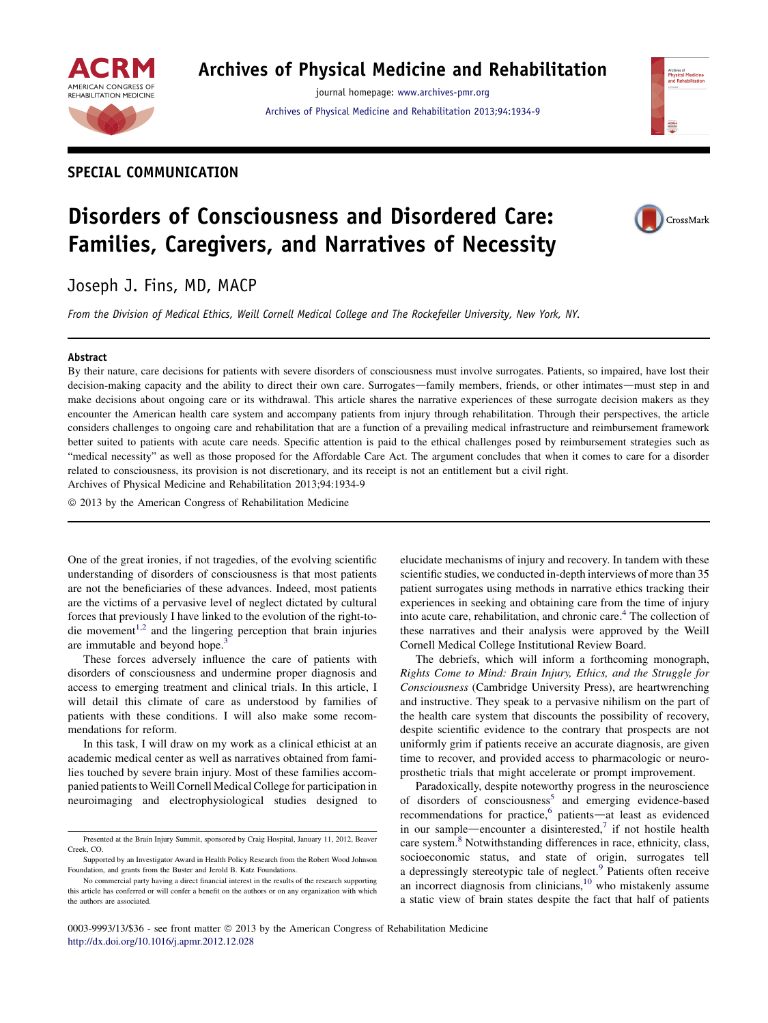

# Archives of Physical Medicine and Rehabilitation

journal homepage: [www.archives-pmr.org](http://www.archives-pmr.org) [Archives of Physical Medicine and Rehabilitation 2013;94:1934-9](http://dx.doi.org/10.1016/j.apmr.2012.12.028)

# SPECIAL COMMUNICATION

# Disorders of Consciousness and Disordered Care: Families, Caregivers, and Narratives of Necessity

Joseph J. Fins, MD, MACP

From the Division of Medical Ethics, Weill Cornell Medical College and The Rockefeller University, New York, NY.

#### Abstract

By their nature, care decisions for patients with severe disorders of consciousness must involve surrogates. Patients, so impaired, have lost their decision-making capacity and the ability to direct their own care. Surrogates—family members, friends, or other intimates—must step in and make decisions about ongoing care or its withdrawal. This article shares the narrative experiences of these surrogate decision makers as they encounter the American health care system and accompany patients from injury through rehabilitation. Through their perspectives, the article considers challenges to ongoing care and rehabilitation that are a function of a prevailing medical infrastructure and reimbursement framework better suited to patients with acute care needs. Specific attention is paid to the ethical challenges posed by reimbursement strategies such as "medical necessity" as well as those proposed for the Affordable Care Act. The argument concludes that when it comes to care for a disorder related to consciousness, its provision is not discretionary, and its receipt is not an entitlement but a civil right. Archives of Physical Medicine and Rehabilitation 2013;94:1934-9

 $©$  2013 by the American Congress of Rehabilitation Medicine

One of the great ironies, if not tragedies, of the evolving scientific understanding of disorders of consciousness is that most patients are not the beneficiaries of these advances. Indeed, most patients are the victims of a pervasive level of neglect dictated by cultural forces that previously I have linked to the evolution of the right-to-die movement<sup>[1,2](#page-4-0)</sup> and the lingering perception that brain injuries are immutable and beyond hope.<sup>3</sup>

These forces adversely influence the care of patients with disorders of consciousness and undermine proper diagnosis and access to emerging treatment and clinical trials. In this article, I will detail this climate of care as understood by families of patients with these conditions. I will also make some recommendations for reform.

In this task, I will draw on my work as a clinical ethicist at an academic medical center as well as narratives obtained from families touched by severe brain injury. Most of these families accompanied patients to Weill Cornell Medical College for participation in neuroimaging and electrophysiological studies designed to elucidate mechanisms of injury and recovery. In tandem with these scientific studies, we conducted in-depth interviews of more than 35 patient surrogates using methods in narrative ethics tracking their experiences in seeking and obtaining care from the time of injury into acute care, rehabilitation, and chronic care.<sup>4</sup> The collection of these narratives and their analysis were approved by the Weill Cornell Medical College Institutional Review Board.

The debriefs, which will inform a forthcoming monograph, Rights Come to Mind: Brain Injury, Ethics, and the Struggle for Consciousness (Cambridge University Press), are heartwrenching and instructive. They speak to a pervasive nihilism on the part of the health care system that discounts the possibility of recovery, despite scientific evidence to the contrary that prospects are not uniformly grim if patients receive an accurate diagnosis, are given time to recover, and provided access to pharmacologic or neuroprosthetic trials that might accelerate or prompt improvement.

Paradoxically, despite noteworthy progress in the neuroscience of disorders of consciousness<sup>[5](#page-5-0)</sup> and emerging evidence-based recommendations for practice,<sup>[6](#page-5-0)</sup> patients—at least as evidenced in our sample—encounter a disinterested,<sup>7</sup> if not hostile health care system.<sup>8</sup> Notwithstanding differences in race, ethnicity, class, socioeconomic status, and state of origin, surrogates tell a depressingly stereotypic tale of neglect.<sup>[9](#page-5-0)</sup> Patients often receive an incorrect diagnosis from clinicians, $10$  who mistakenly assume a static view of brain states despite the fact that half of patients



Presented at the Brain Injury Summit, sponsored by Craig Hospital, January 11, 2012, Beaver Creek, CO.

Supported by an Investigator Award in Health Policy Research from the Robert Wood Johnson Foundation, and grants from the Buster and Jerold B. Katz Foundations.

No commercial party having a direct financial interest in the results of the research supporting this article has conferred or will confer a benefit on the authors or on any organization with which the authors are associated.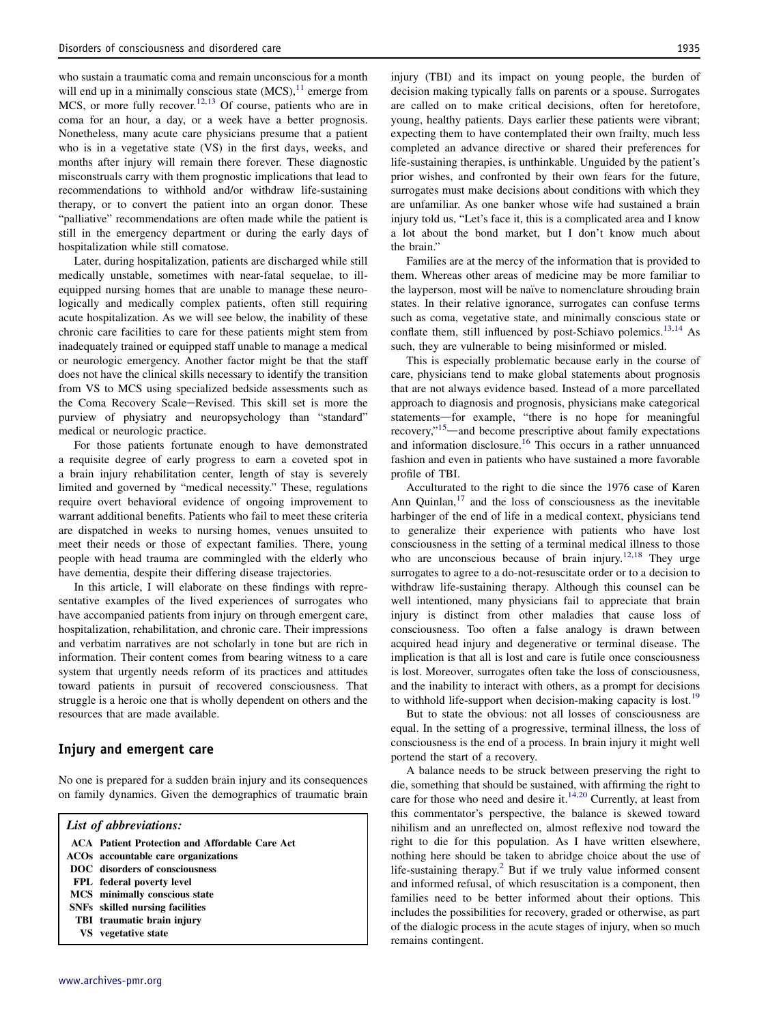who sustain a traumatic coma and remain unconscious for a month will end up in a minimally conscious state  $(MCS)$ ,  $^{11}$  $^{11}$  $^{11}$  emerge from MCS, or more fully recover.<sup>[12,13](#page-5-0)</sup> Of course, patients who are in coma for an hour, a day, or a week have a better prognosis. Nonetheless, many acute care physicians presume that a patient who is in a vegetative state (VS) in the first days, weeks, and months after injury will remain there forever. These diagnostic misconstruals carry with them prognostic implications that lead to recommendations to withhold and/or withdraw life-sustaining therapy, or to convert the patient into an organ donor. These "palliative" recommendations are often made while the patient is still in the emergency department or during the early days of hospitalization while still comatose.

Later, during hospitalization, patients are discharged while still medically unstable, sometimes with near-fatal sequelae, to illequipped nursing homes that are unable to manage these neurologically and medically complex patients, often still requiring acute hospitalization. As we will see below, the inability of these chronic care facilities to care for these patients might stem from inadequately trained or equipped staff unable to manage a medical or neurologic emergency. Another factor might be that the staff does not have the clinical skills necessary to identify the transition from VS to MCS using specialized bedside assessments such as the Coma Recovery Scale-Revised. This skill set is more the purview of physiatry and neuropsychology than "standard" medical or neurologic practice.

For those patients fortunate enough to have demonstrated a requisite degree of early progress to earn a coveted spot in a brain injury rehabilitation center, length of stay is severely limited and governed by "medical necessity." These, regulations require overt behavioral evidence of ongoing improvement to warrant additional benefits. Patients who fail to meet these criteria are dispatched in weeks to nursing homes, venues unsuited to meet their needs or those of expectant families. There, young people with head trauma are commingled with the elderly who have dementia, despite their differing disease trajectories.

In this article, I will elaborate on these findings with representative examples of the lived experiences of surrogates who have accompanied patients from injury on through emergent care, hospitalization, rehabilitation, and chronic care. Their impressions and verbatim narratives are not scholarly in tone but are rich in information. Their content comes from bearing witness to a care system that urgently needs reform of its practices and attitudes toward patients in pursuit of recovered consciousness. That struggle is a heroic one that is wholly dependent on others and the resources that are made available.

### Injury and emergent care

No one is prepared for a sudden brain injury and its consequences on family dynamics. Given the demographics of traumatic brain

#### List of abbreviations:

| ACA Patient Protection and Affordable Care Act |
|------------------------------------------------|
| ACOs accountable care organizations            |
| DOC disorders of consciousness                 |
| FPL federal poverty level                      |
| MCS minimally conscious state                  |
| <b>SNFs</b> skilled nursing facilities         |
| TBI traumatic brain injury                     |
| VS vegetative state                            |
|                                                |

injury (TBI) and its impact on young people, the burden of decision making typically falls on parents or a spouse. Surrogates are called on to make critical decisions, often for heretofore, young, healthy patients. Days earlier these patients were vibrant; expecting them to have contemplated their own frailty, much less completed an advance directive or shared their preferences for life-sustaining therapies, is unthinkable. Unguided by the patient's prior wishes, and confronted by their own fears for the future, surrogates must make decisions about conditions with which they are unfamiliar. As one banker whose wife had sustained a brain injury told us, "Let's face it, this is a complicated area and I know a lot about the bond market, but I don't know much about the brain."

Families are at the mercy of the information that is provided to them. Whereas other areas of medicine may be more familiar to the layperson, most will be naïve to nomenclature shrouding brain states. In their relative ignorance, surrogates can confuse terms such as coma, vegetative state, and minimally conscious state or conflate them, still influenced by post-Schiavo polemics.<sup>[13,14](#page-5-0)</sup> As such, they are vulnerable to being misinformed or misled.

This is especially problematic because early in the course of care, physicians tend to make global statements about prognosis that are not always evidence based. Instead of a more parcellated approach to diagnosis and prognosis, physicians make categorical statements-for example, "there is no hope for meaningful recovery,"<sup>[15](#page-5-0)</sup>—and become prescriptive about family expectations and information disclosure.[16](#page-5-0) This occurs in a rather unnuanced fashion and even in patients who have sustained a more favorable profile of TBI.

Acculturated to the right to die since the 1976 case of Karen Ann Quinlan, $17$  and the loss of consciousness as the inevitable harbinger of the end of life in a medical context, physicians tend to generalize their experience with patients who have lost consciousness in the setting of a terminal medical illness to those who are unconscious because of brain injury.<sup>[12,18](#page-5-0)</sup> They urge surrogates to agree to a do-not-resuscitate order or to a decision to withdraw life-sustaining therapy. Although this counsel can be well intentioned, many physicians fail to appreciate that brain injury is distinct from other maladies that cause loss of consciousness. Too often a false analogy is drawn between acquired head injury and degenerative or terminal disease. The implication is that all is lost and care is futile once consciousness is lost. Moreover, surrogates often take the loss of consciousness, and the inability to interact with others, as a prompt for decisions to withhold life-support when decision-making capacity is lost.<sup>[19](#page-5-0)</sup>

But to state the obvious: not all losses of consciousness are equal. In the setting of a progressive, terminal illness, the loss of consciousness is the end of a process. In brain injury it might well portend the start of a recovery.

A balance needs to be struck between preserving the right to die, something that should be sustained, with affirming the right to care for those who need and desire it. $14,20$  Currently, at least from this commentator's perspective, the balance is skewed toward nihilism and an unreflected on, almost reflexive nod toward the right to die for this population. As I have written elsewhere, nothing here should be taken to abridge choice about the use of life-sustaining therapy.<sup>2</sup> But if we truly value informed consent and informed refusal, of which resuscitation is a component, then families need to be better informed about their options. This includes the possibilities for recovery, graded or otherwise, as part of the dialogic process in the acute stages of injury, when so much remains contingent.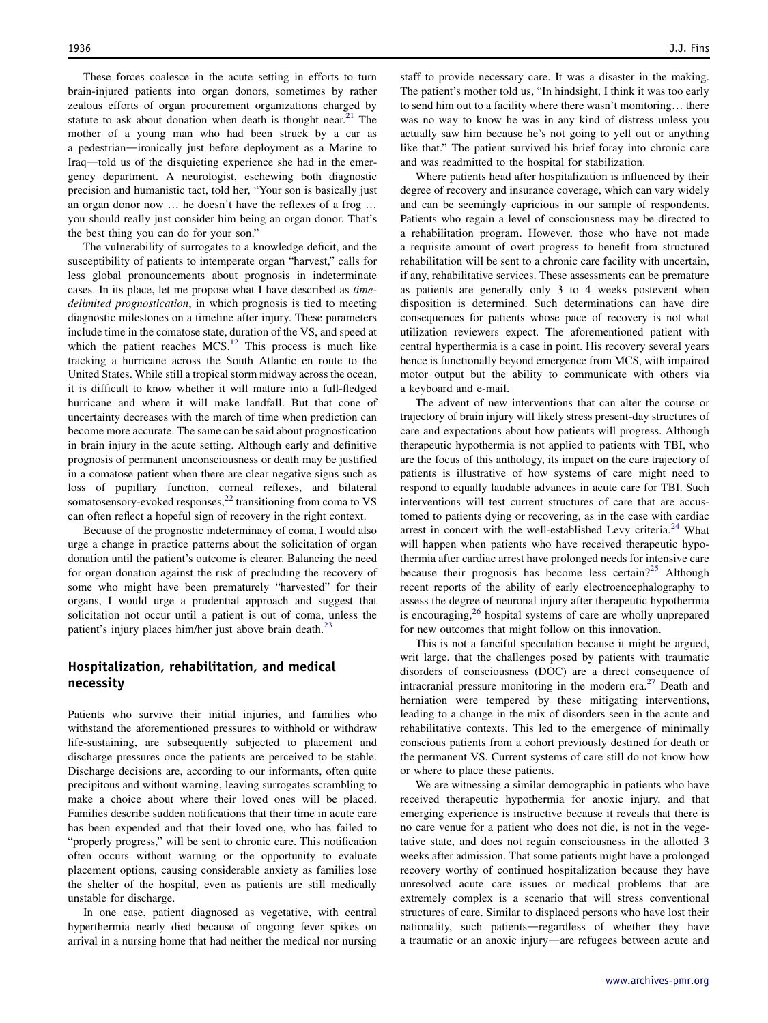These forces coalesce in the acute setting in efforts to turn brain-injured patients into organ donors, sometimes by rather zealous efforts of organ procurement organizations charged by statute to ask about donation when death is thought near.<sup>21</sup> The mother of a young man who had been struck by a car as a pedestrian—ironically just before deployment as a Marine to Iraq—told us of the disquieting experience she had in the emergency department. A neurologist, eschewing both diagnostic precision and humanistic tact, told her, "Your son is basically just an organ donor now ... he doesn't have the reflexes of a frog ... you should really just consider him being an organ donor. That's the best thing you can do for your son."

The vulnerability of surrogates to a knowledge deficit, and the susceptibility of patients to intemperate organ "harvest," calls for less global pronouncements about prognosis in indeterminate cases. In its place, let me propose what I have described as timedelimited prognostication, in which prognosis is tied to meeting diagnostic milestones on a timeline after injury. These parameters include time in the comatose state, duration of the VS, and speed at which the patient reaches  $MCS$ <sup>[12](#page-5-0)</sup> This process is much like tracking a hurricane across the South Atlantic en route to the United States. While still a tropical storm midway across the ocean, it is difficult to know whether it will mature into a full-fledged hurricane and where it will make landfall. But that cone of uncertainty decreases with the march of time when prediction can become more accurate. The same can be said about prognostication in brain injury in the acute setting. Although early and definitive prognosis of permanent unconsciousness or death may be justified in a comatose patient when there are clear negative signs such as loss of pupillary function, corneal reflexes, and bilateral somatosensory-evoked responses, $^{22}$  $^{22}$  $^{22}$  transitioning from coma to VS can often reflect a hopeful sign of recovery in the right context.

Because of the prognostic indeterminacy of coma, I would also urge a change in practice patterns about the solicitation of organ donation until the patient's outcome is clearer. Balancing the need for organ donation against the risk of precluding the recovery of some who might have been prematurely "harvested" for their organs, I would urge a prudential approach and suggest that solicitation not occur until a patient is out of coma, unless the patient's injury places him/her just above brain death.<sup>[23](#page-5-0)</sup>

# Hospitalization, rehabilitation, and medical necessity

Patients who survive their initial injuries, and families who withstand the aforementioned pressures to withhold or withdraw life-sustaining, are subsequently subjected to placement and discharge pressures once the patients are perceived to be stable. Discharge decisions are, according to our informants, often quite precipitous and without warning, leaving surrogates scrambling to make a choice about where their loved ones will be placed. Families describe sudden notifications that their time in acute care has been expended and that their loved one, who has failed to "properly progress," will be sent to chronic care. This notification often occurs without warning or the opportunity to evaluate placement options, causing considerable anxiety as families lose the shelter of the hospital, even as patients are still medically unstable for discharge.

In one case, patient diagnosed as vegetative, with central hyperthermia nearly died because of ongoing fever spikes on arrival in a nursing home that had neither the medical nor nursing staff to provide necessary care. It was a disaster in the making. The patient's mother told us, "In hindsight, I think it was too early to send him out to a facility where there wasn't monitoring... there was no way to know he was in any kind of distress unless you actually saw him because he's not going to yell out or anything like that." The patient survived his brief foray into chronic care and was readmitted to the hospital for stabilization.

Where patients head after hospitalization is influenced by their degree of recovery and insurance coverage, which can vary widely and can be seemingly capricious in our sample of respondents. Patients who regain a level of consciousness may be directed to a rehabilitation program. However, those who have not made a requisite amount of overt progress to benefit from structured rehabilitation will be sent to a chronic care facility with uncertain, if any, rehabilitative services. These assessments can be premature as patients are generally only 3 to 4 weeks postevent when disposition is determined. Such determinations can have dire consequences for patients whose pace of recovery is not what utilization reviewers expect. The aforementioned patient with central hyperthermia is a case in point. His recovery several years hence is functionally beyond emergence from MCS, with impaired motor output but the ability to communicate with others via a keyboard and e-mail.

The advent of new interventions that can alter the course or trajectory of brain injury will likely stress present-day structures of care and expectations about how patients will progress. Although therapeutic hypothermia is not applied to patients with TBI, who are the focus of this anthology, its impact on the care trajectory of patients is illustrative of how systems of care might need to respond to equally laudable advances in acute care for TBI. Such interventions will test current structures of care that are accustomed to patients dying or recovering, as in the case with cardiac arrest in concert with the well-established Levy criteria.<sup>[24](#page-5-0)</sup> What will happen when patients who have received therapeutic hypothermia after cardiac arrest have prolonged needs for intensive care because their prognosis has become less certain?<sup>[25](#page-5-0)</sup> Although recent reports of the ability of early electroencephalography to assess the degree of neuronal injury after therapeutic hypothermia is encouraging,<sup>[26](#page-5-0)</sup> hospital systems of care are wholly unprepared for new outcomes that might follow on this innovation.

This is not a fanciful speculation because it might be argued, writ large, that the challenges posed by patients with traumatic disorders of consciousness (DOC) are a direct consequence of intracranial pressure monitoring in the modern era.<sup>[27](#page-5-0)</sup> Death and herniation were tempered by these mitigating interventions, leading to a change in the mix of disorders seen in the acute and rehabilitative contexts. This led to the emergence of minimally conscious patients from a cohort previously destined for death or the permanent VS. Current systems of care still do not know how or where to place these patients.

We are witnessing a similar demographic in patients who have received therapeutic hypothermia for anoxic injury, and that emerging experience is instructive because it reveals that there is no care venue for a patient who does not die, is not in the vegetative state, and does not regain consciousness in the allotted 3 weeks after admission. That some patients might have a prolonged recovery worthy of continued hospitalization because they have unresolved acute care issues or medical problems that are extremely complex is a scenario that will stress conventional structures of care. Similar to displaced persons who have lost their nationality, such patients—regardless of whether they have a traumatic or an anoxic injury—are refugees between acute and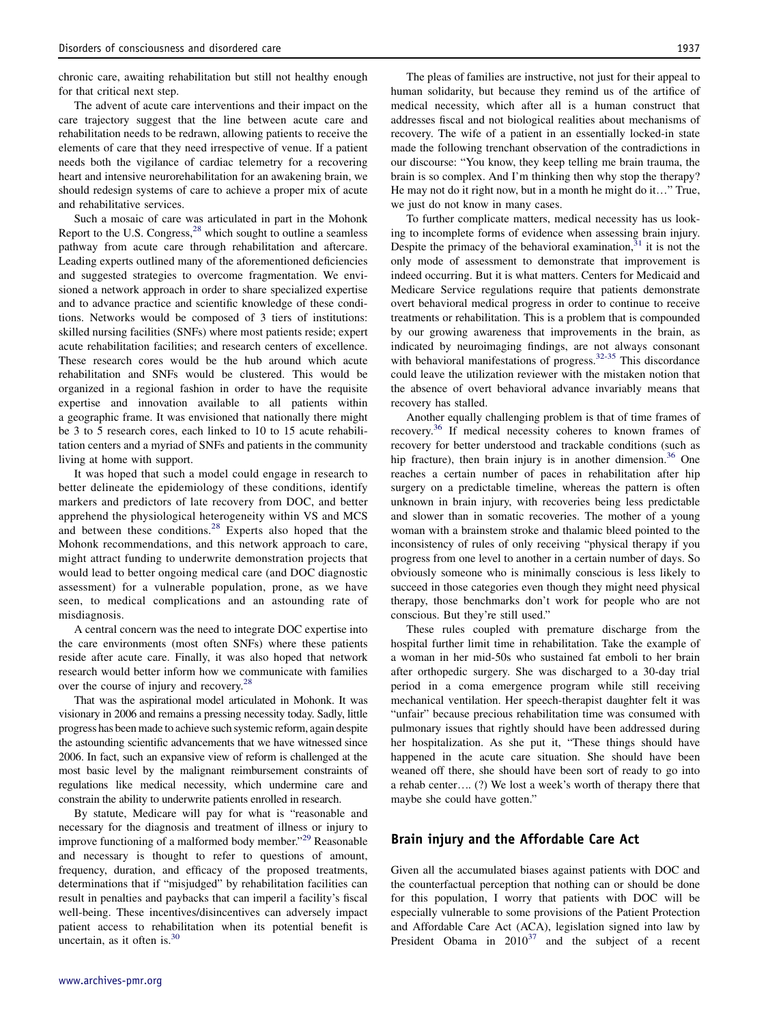chronic care, awaiting rehabilitation but still not healthy enough for that critical next step.

The advent of acute care interventions and their impact on the care trajectory suggest that the line between acute care and rehabilitation needs to be redrawn, allowing patients to receive the elements of care that they need irrespective of venue. If a patient needs both the vigilance of cardiac telemetry for a recovering heart and intensive neurorehabilitation for an awakening brain, we should redesign systems of care to achieve a proper mix of acute and rehabilitative services.

Such a mosaic of care was articulated in part in the Mohonk Report to the U.S. Congress,<sup>[28](#page-5-0)</sup> which sought to outline a seamless pathway from acute care through rehabilitation and aftercare. Leading experts outlined many of the aforementioned deficiencies and suggested strategies to overcome fragmentation. We envisioned a network approach in order to share specialized expertise and to advance practice and scientific knowledge of these conditions. Networks would be composed of 3 tiers of institutions: skilled nursing facilities (SNFs) where most patients reside; expert acute rehabilitation facilities; and research centers of excellence. These research cores would be the hub around which acute rehabilitation and SNFs would be clustered. This would be organized in a regional fashion in order to have the requisite expertise and innovation available to all patients within a geographic frame. It was envisioned that nationally there might be 3 to 5 research cores, each linked to 10 to 15 acute rehabilitation centers and a myriad of SNFs and patients in the community living at home with support.

It was hoped that such a model could engage in research to better delineate the epidemiology of these conditions, identify markers and predictors of late recovery from DOC, and better apprehend the physiological heterogeneity within VS and MCS and between these conditions. $28$  Experts also hoped that the Mohonk recommendations, and this network approach to care, might attract funding to underwrite demonstration projects that would lead to better ongoing medical care (and DOC diagnostic assessment) for a vulnerable population, prone, as we have seen, to medical complications and an astounding rate of misdiagnosis.

A central concern was the need to integrate DOC expertise into the care environments (most often SNFs) where these patients reside after acute care. Finally, it was also hoped that network research would better inform how we communicate with families over the course of injury and recovery.<sup>[28](#page-5-0)</sup>

That was the aspirational model articulated in Mohonk. It was visionary in 2006 and remains a pressing necessity today. Sadly, little progress has been made to achieve such systemic reform, again despite the astounding scientific advancements that we have witnessed since 2006. In fact, such an expansive view of reform is challenged at the most basic level by the malignant reimbursement constraints of regulations like medical necessity, which undermine care and constrain the ability to underwrite patients enrolled in research.

By statute, Medicare will pay for what is "reasonable and necessary for the diagnosis and treatment of illness or injury to improve functioning of a malformed body member."<sup>[29](#page-5-0)</sup> Reasonable and necessary is thought to refer to questions of amount, frequency, duration, and efficacy of the proposed treatments, determinations that if "misjudged" by rehabilitation facilities can result in penalties and paybacks that can imperil a facility's fiscal well-being. These incentives/disincentives can adversely impact patient access to rehabilitation when its potential benefit is uncertain, as it often is. $30$ 

The pleas of families are instructive, not just for their appeal to human solidarity, but because they remind us of the artifice of medical necessity, which after all is a human construct that addresses fiscal and not biological realities about mechanisms of recovery. The wife of a patient in an essentially locked-in state made the following trenchant observation of the contradictions in our discourse: "You know, they keep telling me brain trauma, the brain is so complex. And I'm thinking then why stop the therapy? He may not do it right now, but in a month he might do it..." True, we just do not know in many cases.

To further complicate matters, medical necessity has us looking to incomplete forms of evidence when assessing brain injury. Despite the primacy of the behavioral examination, $31$  it is not the only mode of assessment to demonstrate that improvement is indeed occurring. But it is what matters. Centers for Medicaid and Medicare Service regulations require that patients demonstrate overt behavioral medical progress in order to continue to receive treatments or rehabilitation. This is a problem that is compounded by our growing awareness that improvements in the brain, as indicated by neuroimaging findings, are not always consonant with behavioral manifestations of progress.<sup>[32-35](#page-5-0)</sup> This discordance could leave the utilization reviewer with the mistaken notion that the absence of overt behavioral advance invariably means that recovery has stalled.

Another equally challenging problem is that of time frames of recovery.<sup>36</sup> If medical necessity coheres to known frames of recovery for better understood and trackable conditions (such as hip fracture), then brain injury is in another dimension.<sup>[36](#page-5-0)</sup> One reaches a certain number of paces in rehabilitation after hip surgery on a predictable timeline, whereas the pattern is often unknown in brain injury, with recoveries being less predictable and slower than in somatic recoveries. The mother of a young woman with a brainstem stroke and thalamic bleed pointed to the inconsistency of rules of only receiving "physical therapy if you progress from one level to another in a certain number of days. So obviously someone who is minimally conscious is less likely to succeed in those categories even though they might need physical therapy, those benchmarks don't work for people who are not conscious. But they're still used."

These rules coupled with premature discharge from the hospital further limit time in rehabilitation. Take the example of a woman in her mid-50s who sustained fat emboli to her brain after orthopedic surgery. She was discharged to a 30-day trial period in a coma emergence program while still receiving mechanical ventilation. Her speech-therapist daughter felt it was "unfair" because precious rehabilitation time was consumed with pulmonary issues that rightly should have been addressed during her hospitalization. As she put it, "These things should have happened in the acute care situation. She should have been weaned off there, she should have been sort of ready to go into a rehab center.. (?) We lost a week's worth of therapy there that maybe she could have gotten."

# Brain injury and the Affordable Care Act

Given all the accumulated biases against patients with DOC and the counterfactual perception that nothing can or should be done for this population, I worry that patients with DOC will be especially vulnerable to some provisions of the Patient Protection and Affordable Care Act (ACA), legislation signed into law by President Obama in  $2010^{37}$  $2010^{37}$  $2010^{37}$  and the subject of a recent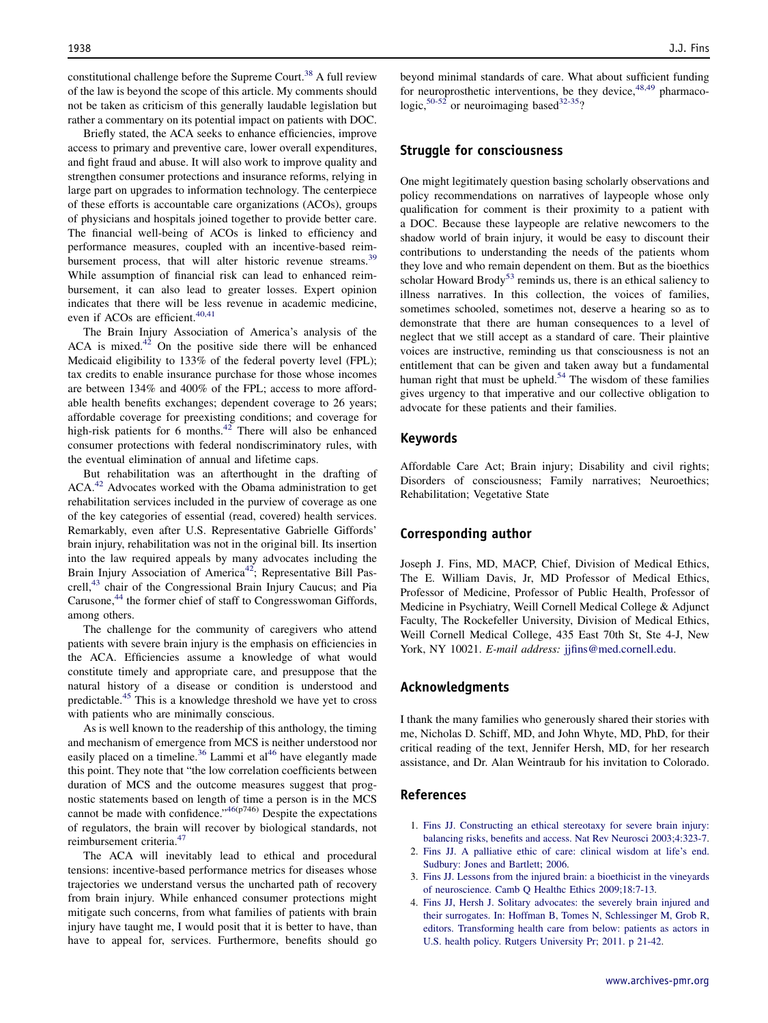<span id="page-4-0"></span>constitutional challenge before the Supreme Court.<sup>38</sup> A full review of the law is beyond the scope of this article. My comments should not be taken as criticism of this generally laudable legislation but rather a commentary on its potential impact on patients with DOC.

Briefly stated, the ACA seeks to enhance efficiencies, improve access to primary and preventive care, lower overall expenditures, and fight fraud and abuse. It will also work to improve quality and strengthen consumer protections and insurance reforms, relying in large part on upgrades to information technology. The centerpiece of these efforts is accountable care organizations (ACOs), groups of physicians and hospitals joined together to provide better care. The financial well-being of ACOs is linked to efficiency and performance measures, coupled with an incentive-based reim-bursement process, that will alter historic revenue streams.<sup>[39](#page-5-0)</sup> While assumption of financial risk can lead to enhanced reimbursement, it can also lead to greater losses. Expert opinion indicates that there will be less revenue in academic medicine, even if ACOs are efficient.<sup>[40,41](#page-5-0)</sup>

The Brain Injury Association of America's analysis of the ACA is mixed. $42$  On the positive side there will be enhanced Medicaid eligibility to 133% of the federal poverty level (FPL); tax credits to enable insurance purchase for those whose incomes are between 134% and 400% of the FPL; access to more affordable health benefits exchanges; dependent coverage to 26 years; affordable coverage for preexisting conditions; and coverage for high-risk patients for 6 months. $42$  There will also be enhanced consumer protections with federal nondiscriminatory rules, with the eventual elimination of annual and lifetime caps.

But rehabilitation was an afterthought in the drafting of ACA.<sup>42</sup> Advocates worked with the Obama administration to get rehabilitation services included in the purview of coverage as one of the key categories of essential (read, covered) health services. Remarkably, even after U.S. Representative Gabrielle Giffords' brain injury, rehabilitation was not in the original bill. Its insertion into the law required appeals by many advocates including the Brain Injury Association of America<sup>[42](#page-5-0)</sup>; Representative Bill Pas-crell,<sup>[43](#page-5-0)</sup> chair of the Congressional Brain Injury Caucus; and Pia Carusone,<sup>[44](#page-5-0)</sup> the former chief of staff to Congresswoman Giffords, among others.

The challenge for the community of caregivers who attend patients with severe brain injury is the emphasis on efficiencies in the ACA. Efficiencies assume a knowledge of what would constitute timely and appropriate care, and presuppose that the natural history of a disease or condition is understood and predictable.[45](#page-5-0) This is a knowledge threshold we have yet to cross with patients who are minimally conscious.

As is well known to the readership of this anthology, the timing and mechanism of emergence from MCS is neither understood nor easily placed on a timeline.<sup>[36](#page-5-0)</sup> Lammi et al<sup>46</sup> have elegantly made this point. They note that "the low correlation coefficients between duration of MCS and the outcome measures suggest that prognostic statements based on length of time a person is in the MCS cannot be made with confidence."[46](#page-5-0)(p746) Despite the expectations of regulators, the brain will recover by biological standards, not reimbursement criteria.[47](#page-5-0)

The ACA will inevitably lead to ethical and procedural tensions: incentive-based performance metrics for diseases whose trajectories we understand versus the uncharted path of recovery from brain injury. While enhanced consumer protections might mitigate such concerns, from what families of patients with brain injury have taught me, I would posit that it is better to have, than have to appeal for, services. Furthermore, benefits should go beyond minimal standards of care. What about sufficient funding for neuroprosthetic interventions, be they device,  $48,49$  pharmaco-logic,<sup>[50-52](#page-5-0)</sup> or neuroimaging based<sup>32-35</sup>?

# Struggle for consciousness

One might legitimately question basing scholarly observations and policy recommendations on narratives of laypeople whose only qualification for comment is their proximity to a patient with a DOC. Because these laypeople are relative newcomers to the shadow world of brain injury, it would be easy to discount their contributions to understanding the needs of the patients whom they love and who remain dependent on them. But as the bioethics scholar Howard Brody<sup>[53](#page-5-0)</sup> reminds us, there is an ethical saliency to illness narratives. In this collection, the voices of families, sometimes schooled, sometimes not, deserve a hearing so as to demonstrate that there are human consequences to a level of neglect that we still accept as a standard of care. Their plaintive voices are instructive, reminding us that consciousness is not an entitlement that can be given and taken away but a fundamental human right that must be upheld.<sup>[54](#page-5-0)</sup> The wisdom of these families gives urgency to that imperative and our collective obligation to advocate for these patients and their families.

#### Keywords

Affordable Care Act; Brain injury; Disability and civil rights; Disorders of consciousness; Family narratives; Neuroethics; Rehabilitation; Vegetative State

#### Corresponding author

Joseph J. Fins, MD, MACP, Chief, Division of Medical Ethics, The E. William Davis, Jr, MD Professor of Medical Ethics, Professor of Medicine, Professor of Public Health, Professor of Medicine in Psychiatry, Weill Cornell Medical College & Adjunct Faculty, The Rockefeller University, Division of Medical Ethics, Weill Cornell Medical College, 435 East 70th St, Ste 4-J, New York, NY 10021. E-mail address: [jjfins@med.cornell.edu.](mailto:jjfins@med.cornell.edu)

#### Acknowledgments

I thank the many families who generously shared their stories with me, Nicholas D. Schiff, MD, and John Whyte, MD, PhD, for their critical reading of the text, Jennifer Hersh, MD, for her research assistance, and Dr. Alan Weintraub for his invitation to Colorado.

# References

- 1. [Fins JJ. Constructing an ethical stereotaxy for severe brain injury:](http://refhub.elsevier.com/S0003-9993(13)00423-1/sref1) [balancing risks, benefits and access. Nat Rev Neurosci 2003;4:323-7.](http://refhub.elsevier.com/S0003-9993(13)00423-1/sref1)
- 2. [Fins JJ. A palliative ethic of care: clinical wisdom at life's end.](http://refhub.elsevier.com/S0003-9993(13)00423-1/sref2) [Sudbury: Jones and Bartlett; 2006](http://refhub.elsevier.com/S0003-9993(13)00423-1/sref2).
- 3. [Fins JJ. Lessons from the injured brain: a bioethicist in the vineyards](http://refhub.elsevier.com/S0003-9993(13)00423-1/sref3) [of neuroscience. Camb Q Healthc Ethics 2009;18:7-13](http://refhub.elsevier.com/S0003-9993(13)00423-1/sref3).
- 4. [Fins JJ, Hersh J. Solitary advocates: the severely brain injured and](http://refhub.elsevier.com/S0003-9993(13)00423-1/sref4) [their surrogates. In: Hoffman B, Tomes N, Schlessinger M, Grob R,](http://refhub.elsevier.com/S0003-9993(13)00423-1/sref4) [editors. Transforming health care from below: patients as actors in](http://refhub.elsevier.com/S0003-9993(13)00423-1/sref4) [U.S. health policy. Rutgers University Pr; 2011. p 21-42](http://refhub.elsevier.com/S0003-9993(13)00423-1/sref4).